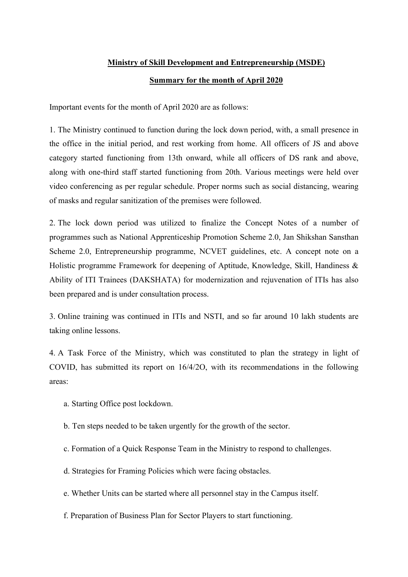## Ministry of Skill Development and Entrepreneurship (MSDE)

## Summary for the month of April 2020

Important events for the month of April 2020 are as follows:

1. The Ministry continued to function during the lock down period, with, a small presence in the office in the initial period, and rest working from home. All officers of JS and above category started functioning from 13th onward, while all officers of DS rank and above, along with one-third staff started functioning from 20th. Various meetings were held over video conferencing as per regular schedule. Proper norms such as social distancing, wearing of masks and regular sanitization of the premises were followed.

2. The lock down period was utilized to finalize the Concept Notes of a number of programmes such as National Apprenticeship Promotion Scheme 2.0, Jan Shikshan Sansthan Scheme 2.0, Entrepreneurship programme, NCVET guidelines, etc. A concept note on a Holistic programme Framework for deepening of Aptitude, Knowledge, Skill, Handiness & Ability of ITI Trainees (DAKSHATA) for modernization and rejuvenation of ITIs has also been prepared and is under consultation process.

3. Online training was continued in ITIs and NSTI, and so far around 10 lakh students are taking online lessons.

4. A Task Force of the Ministry, which was constituted to plan the strategy in light of COVID, has submitted its report on 16/4/2O, with its recommendations in the following areas:

- a. Starting Office post lockdown.
- b. Ten steps needed to be taken urgently for the growth of the sector.
- c. Formation of a Quick Response Team in the Ministry to respond to challenges.
- d. Strategies for Framing Policies which were facing obstacles.
- e. Whether Units can be started where all personnel stay in the Campus itself.
- f. Preparation of Business Plan for Sector Players to start functioning.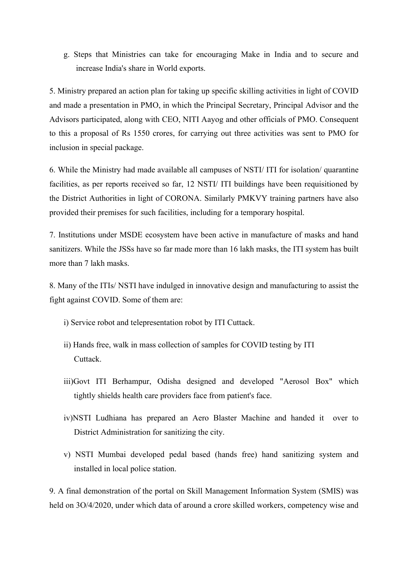g. Steps that Ministries can take for encouraging Make in India and to secure and increase India's share in World exports.

5. Ministry prepared an action plan for taking up specific skilling activities in light of COVID and made a presentation in PMO, in which the Principal Secretary, Principal Advisor and the Advisors participated, along with CEO, NITI Aayog and other officials of PMO. Consequent to this a proposal of Rs 1550 crores, for carrying out three activities was sent to PMO for inclusion in special package.

6. While the Ministry had made available all campuses of NSTI/ ITI for isolation/ quarantine facilities, as per reports received so far, 12 NSTI/ ITI buildings have been requisitioned by the District Authorities in light of CORONA. Similarly PMKVY training partners have also provided their premises for such facilities, including for a temporary hospital.

7. Institutions under MSDE ecosystem have been active in manufacture of masks and hand sanitizers. While the JSSs have so far made more than 16 lakh masks, the ITI system has built more than 7 lakh masks.

8. Many of the ITIs/ NSTI have indulged in innovative design and manufacturing to assist the fight against COVID. Some of them are:

- i) Service robot and telepresentation robot by ITI Cuttack.
- ii) Hands free, walk in mass collection of samples for COVID testing by ITI Cuttack.
- iii)Govt ITI Berhampur, Odisha designed and developed "Aerosol Box" which tightly shields health care providers face from patient's face.
- iv)NSTI Ludhiana has prepared an Aero Blaster Machine and handed it over to District Administration for sanitizing the city.
- v) NSTI Mumbai developed pedal based (hands free) hand sanitizing system and installed in local police station.

9. A final demonstration of the portal on Skill Management Information System (SMIS) was held on 3O/4/2020, under which data of around a crore skilled workers, competency wise and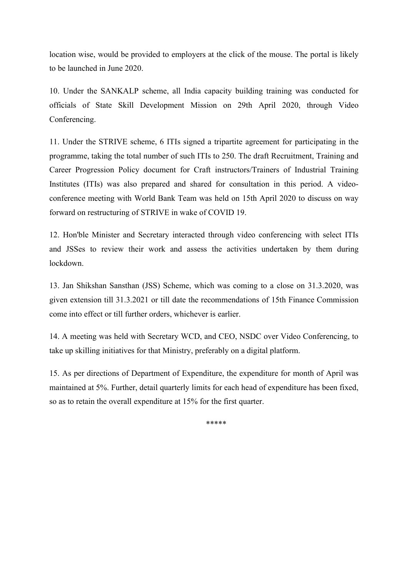location wise, would be provided to employers at the click of the mouse. The portal is likely to be launched in June 2020.

10. Under the SANKALP scheme, all India capacity building training was conducted for officials of State Skill Development Mission on 29th April 2020, through Video Conferencing.

11. Under the STRIVE scheme, 6 ITIs signed a tripartite agreement for participating in the programme, taking the total number of such ITIs to 250. The draft Recruitment, Training and Career Progression Policy document for Craft instructors/Trainers of Industrial Training Institutes (ITIs) was also prepared and shared for consultation in this period. A videoconference meeting with World Bank Team was held on 15th April 2020 to discuss on way forward on restructuring of STRIVE in wake of COVID 19.

12. Hon'ble Minister and Secretary interacted through video conferencing with select ITIs and JSSes to review their work and assess the activities undertaken by them during lockdown.

13. Jan Shikshan Sansthan (JSS) Scheme, which was coming to a close on 31.3.2020, was given extension till 31.3.2021 or till date the recommendations of 15th Finance Commission come into effect or till further orders, whichever is earlier.

14. A meeting was held with Secretary WCD, and CEO, NSDC over Video Conferencing, to take up skilling initiatives for that Ministry, preferably on a digital platform.

15. As per directions of Department of Expenditure, the expenditure for month of April was maintained at 5%. Further, detail quarterly limits for each head of expenditure has been fixed, so as to retain the overall expenditure at 15% for the first quarter.

\*\*\*\*\*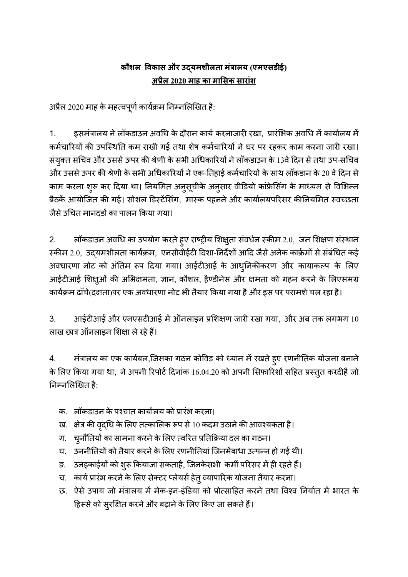## <u>कौशल विकास और उदयमशीलता मंत्रालय (एमएसडीई)</u> अĤैल 2020 माह का माͧसक सारांश

अप्रैल 2020 माह के महत्वपूर्ण कार्यक्रम निम्नलिखित है:

1. इसमंत्रालय ने लॉकडाउन अवधि के दौरान कार्य करनाजारी रखा, प्रारंभिक अवधि में कार्यालय में कर्मचारियों की उपस्थिति कम राखी गई तथा शेष कर्मचारियों ने घर पर रहकर काम करना जारी रखा। संयुक्त सचिव और उससे ऊपर की श्रेणी के सभी अधिकारियों ने लॉकडाउन के 13वें दिन से तथा उप-सचिव और उससे ऊपर की श्रेणी के सभी अधिकारियों ने एक-तिहाई कर्मचारियों के साथ लॉकडान के 20 वें दिन से काम करना शुरू कर दिया था। नियमित अनुसूचीके अनुसार वीडियो कांफ्रेसिंग के माध्यम से विभिन्न बैठकें आयोजित की गई। सोशल डिस्टेंसिंग. मास्क पहनने और कार्यालयपरिसर कीनियमित स्वच्छता जैसे उचित मानदंडों का पालन किया गया।

2. लॉकडाउन अवधि का उपयोग करते हुए राष्ट्रीय शिक्षुता संवर्धन स्कीम 2.0, जन शिक्षण संस्थान स्कीम 2.0, उदयमशीलता कार्यक्रम, एनसीवीईटी दिशा-निर्देशों आदि जैसे अनेक कार्क्रमों से संबंधित कई अवधारणा नोट को अंतिम रूप दिया गया। आईटीआई के आध्निकीकरण और कायाकल्प के लिए आईटीआई शिक्षुओं की अभिक्षमता, ज्ञान, कौशल, हैण्डीनेस और क्षमता को गहन करने के लिएसमग्र कार्यक्रम ढाँचे(दक्षता)पर एक अवधारणा नोट भी तैयार किया गया है और इस पर परामर्श चल रहा है।

3. आईटीआई और एनएसटीआई में ऑनलाइन प्रशिक्षण जारी रखा गया, और अब तक लगभग 10 लाख छात्र ऑनलाइन शिक्षा ले रहे हैं।

4. मंत्रालय का एक कार्यबल,जिसका गठन कोविड को ध्यान में रखते हुए रणनीतिक योजना बनाने के लिए किया गया था, ने अपनी रिपोर्ट दिनांक 16.04.20 को अपनी सिफारिशों सहित प्रस्तुत करदीहै जो निम्नलिखित है:

- क. लॉकडाउन के पश्चात कार्यालय को प्रारंभ करना।
- ख. क्षेत्र की वृद्धि के लिए तत्कालिक रूप से 10 कदम उठाने की आवश्यकता है।
- ग. चुनौतियों का सामना करने के लिए त्वरित प्रतिक्रिया दल का गठन।
- घ. उननीतियों को तैयार करने के लिए रणनीतियां जिनमेंबाधा उत्पन्न हो गई थी।
- ङ. उनइकाईयों को शुरू कियाजा सकताहै, जिनकेसभी कर्मी परिसर में ही रहते हैं।
- च. कार्य प्रारंभ करने के लिए सेक्टर प्लेयर्स हेत् व्यापारिक योजना तैयार करना।
- छ. ऐसे उपाय जो मंत्रालय में मेक-इन-इंडिया को प्रोत्साहित करने तथा विश्व निर्यात में भारत के हिस्से को सुरक्षित करने और बढ़ाने के लिए किए जा सकते हैं।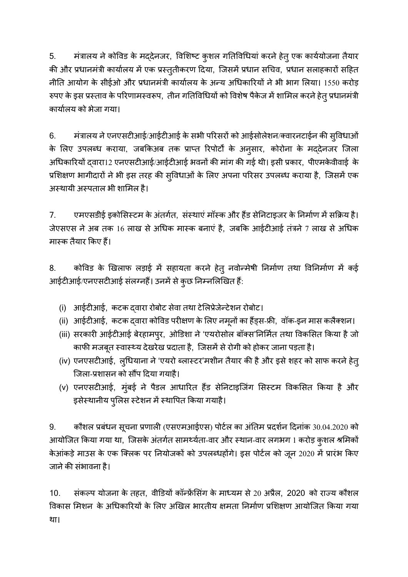5. मंत्रालय ने कोविड के मद्देनजर, विशिष्ट कुशल गतिविधियां करने हेतु एक कार्ययोजना तैयार की और प्रधानमंत्री कार्यालय में एक प्रस्तुतीकरण दिया, जिसमें प्रधान सचिव, प्रधान सलाहकारों सहित नीति आयोग के सीईओ और प्रधानमंत्री कार्यालय के अन्य अधिकारियों ने भी भाग लिया। 1550 करोड़ रुपए के इस प्रस्ताव के परिणामस्वरूप, तीन गतिविधियों को विशेष पैकेज में शामिल करने हेतु प्रधानमंत्री काया[लय को भेजा गया।

6. मंत्रालय ने एनएसटीआई/आईटीआई के सभी परिसरों को आईसोलेशन/क्वारनटाईन की स्विधाओं के लिए उपलब्ध कराया, जबकिअब तक प्राप्त रिपोर्टों के अनुसार, कोरोना के मद्देनजर जिला अधिकारियों दवारा12 एनएसटीआई/आईटीआई भवनों की मांग की गई थी। इसी प्रकार, पीएमकेवीवाई के प्रशिक्षण भागीदारों ने भी इस तरह की सुविधाओं के लिए अपना परिसर उपलब्ध कराया है, जिसमें एक अस्थायी अस्पताल भी शामिल है।

7. एमएसडीई इकोसिस्टम के अंतर्गत, संस्थाएं मॉस्क और हैंड सेनिटाइजर के निर्माण में सक्रिय है। जेएसएस ने अब तक 16 लाख से अधिक मास्क बनाएं है, जबकि आईटीआई तंत्रने 7 लाख से अधिक मास्क तैयार किए हैं।

8. कोविड के खिलाफ लड़ाई में सहायता करने हेतु नवोन्मेषी निर्माण तथा विनिर्माण में कई आईटीआई/एनएसटीआई संलग्नहैं। उनमें से कुछ निम्नलिखित हैं:

- (i) आईटीआई, कटक दवारा रोबोट सेवा तथा टेलिप्रेजेन्टेशन रोबोट।
- (ii) आईटीआई, कटक द्वारा कोविड परीक्षण के लिए नमूनों का हैंड्स-फ्री, वॉक-इन मास कलैक्शन।
- (iii) सरकारी आईटीआई बेरहामपुर, ओडिशा ने 'एयरोसोल बॉक्स'निर्मित तथा विकसित किया है जो काफी मजबूत स्वास्थ्य देखरेख प्रदाता है, जिसमें से रोगी को होकर जाना पड़ता है।
- (iv) एनएसटीआई, लुधियाना ने 'एयरो ब्लास्टर'मशीन तैयार की है और इसे शहर को साफ करने हेत् जिला-प्रशासन को सौंप दिया गयाहै।
- (v) एनएसटीआई, मुंबई ने पैडल आधारित हैंड सेनिटाइजिंग सिस्टम विकसित किया है और इसेस्थानीय पुलिस स्टेशन में स्थापित किया गयाहै।

9. कौशल प्रबंधन सूचना प्रणाली (एसएमआईएस) पोर्टल का अंतिम प्रदर्शन दिनांक 30.04.2020 को आयोजित किया गया था, जिसके अंतर्गत सामर्थ्यता-वार और स्थान-वार लगभग 1 करोड़ कुशल श्रमिकों केआंकड़े माउस के एक क्लिक पर नियोजकों को उपलब्धहोंगे। इस पोर्टल को जून 2020 में प्रारंभ किए जाने की संभावना है।

10. संकल्प योजना के तहत, वीडियों कॉन्फ्रेंसिंग के माध्यम से 20 अप्रैल, 2020 को राज्य कौशल विकास मिशन के अधिकारियों के लिए अखिल भारतीय क्षमता निर्माण प्रशिक्षण आयोजित किया गया था।